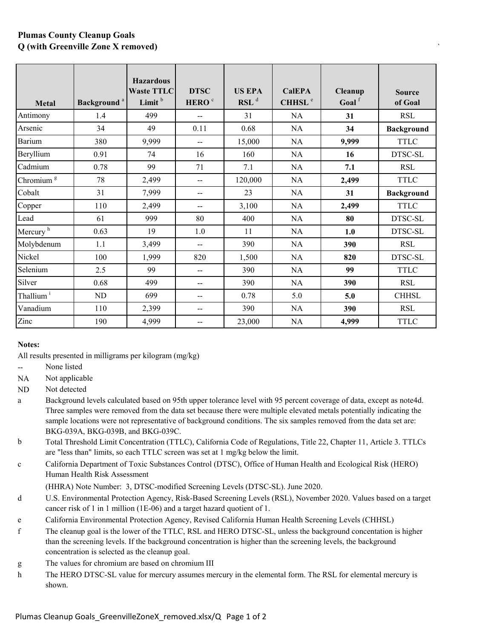## **Plumas County Cleanup Goals Q (with Greenville Zone X removed)** `

| Metal                 | Background <sup>a</sup> | <b>Hazardous</b><br><b>Waste TTLC</b><br>Limit <sup>b</sup> | <b>DTSC</b><br>HERO <sup>c</sup> | <b>US EPA</b><br>$RSL$ <sup>d</sup> | <b>CalEPA</b><br>CHHSL <sup>e</sup> | Cleanup<br>Goal <sup>f</sup> | <b>Source</b><br>of Goal |
|-----------------------|-------------------------|-------------------------------------------------------------|----------------------------------|-------------------------------------|-------------------------------------|------------------------------|--------------------------|
| Antimony              | 1.4                     | 499                                                         |                                  | 31                                  | NA                                  | 31                           | <b>RSL</b>               |
| Arsenic               | 34                      | 49                                                          | 0.11                             | 0.68                                | NA                                  | 34                           | <b>Background</b>        |
| <b>Barium</b>         | 380                     | 9,999                                                       | $\overline{\phantom{a}}$         | 15,000                              | NA                                  | 9,999                        | <b>TTLC</b>              |
| Beryllium             | 0.91                    | 74                                                          | 16                               | 160                                 | NA                                  | 16                           | DTSC-SL                  |
| Cadmium               | 0.78                    | 99                                                          | 71                               | 7.1                                 | NA                                  | 7.1                          | <b>RSL</b>               |
| Chromium <sup>g</sup> | 78                      | 2,499                                                       | $\overline{a}$                   | 120,000                             | NA                                  | 2,499                        | <b>TTLC</b>              |
| Cobalt                | 31                      | 7,999                                                       | $-$                              | 23                                  | NA                                  | 31                           | <b>Background</b>        |
| Copper                | 110                     | 2,499                                                       | $\overline{\phantom{a}}$         | 3,100                               | NA                                  | 2,499                        | <b>TTLC</b>              |
| Lead                  | 61                      | 999                                                         | 80                               | 400                                 | NA                                  | 80                           | DTSC-SL                  |
| Mercury <sup>h</sup>  | 0.63                    | 19                                                          | 1.0                              | 11                                  | NA                                  | 1.0                          | DTSC-SL                  |
| Molybdenum            | 1.1                     | 3,499                                                       | $\overline{a}$                   | 390                                 | NA                                  | 390                          | <b>RSL</b>               |
| Nickel                | 100                     | 1,999                                                       | 820                              | 1,500                               | NA                                  | 820                          | DTSC-SL                  |
| Selenium              | 2.5                     | 99                                                          | $-$                              | 390                                 | NA                                  | 99                           | <b>TTLC</b>              |
| Silver                | 0.68                    | 499                                                         | $-$                              | 390                                 | NA                                  | 390                          | <b>RSL</b>               |
| Thallium <sup>i</sup> | ND                      | 699                                                         | $-$                              | 0.78                                | 5.0                                 | 5.0                          | <b>CHHSL</b>             |
| Vanadium              | 110                     | 2,399                                                       | $-$                              | 390                                 | NA                                  | 390                          | <b>RSL</b>               |
| Zinc                  | 190                     | 4,999                                                       | --                               | 23,000                              | NA                                  | 4,999                        | <b>TTLC</b>              |

## **Notes:**

All results presented in milligrams per kilogram (mg/kg)

-- None listed

N<sub>A</sub> Not applicable

ND Not detected

- a Background levels calculated based on 95th upper tolerance level with 95 percent coverage of data, except as note4d. Three samples were removed from the data set because there were multiple elevated metals potentially indicating the sample locations were not representative of background conditions. The six samples removed from the data set are: BKG-039A, BKG-039B, and BKG-039C.
- b Total Threshold Limit Concentration (TTLC), California Code of Regulations, Title 22, Chapter 11, Article 3. TTLCs are "less than" limits, so each TTLC screen was set at 1 mg/kg below the limit.
- c California Department of Toxic Substances Control (DTSC), Office of Human Health and Ecological Risk (HERO) Human Health Risk Assessment

(HHRA) Note Number: 3, DTSC-modified Screening Levels (DTSC-SL). June 2020.

- d U.S. Environmental Protection Agency, Risk-Based Screening Levels (RSL), November 2020. Values based on a target cancer risk of 1 in 1 million (1E-06) and a target hazard quotient of 1.
- e California Environmental Protection Agency, Revised California Human Health Screening Levels (CHHSL)
- f The cleanup goal is the lower of the TTLC, RSL and HERO DTSC-SL, unless the background concentation is higher than the screening levels. If the background concentration is higher than the screening levels, the background concentration is selected as the cleanup goal.
- g The values for chromium are based on chromium III
- h The HERO DTSC-SL value for mercury assumes mercury in the elemental form. The RSL for elemental mercury is shown.